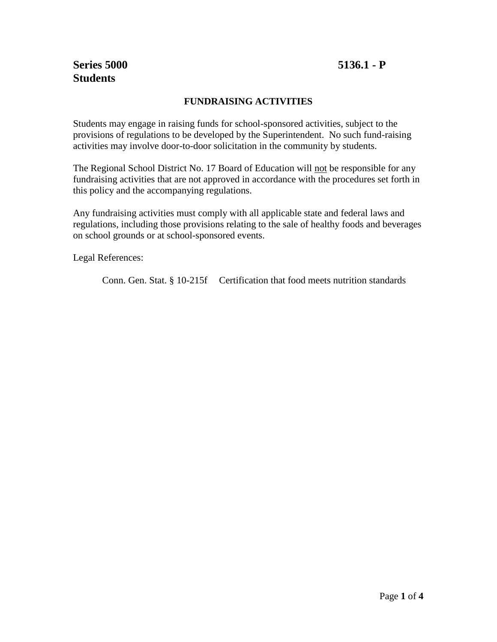# **Series 5000 5136.1 - P Students**

## **FUNDRAISING ACTIVITIES**

Students may engage in raising funds for school-sponsored activities, subject to the provisions of regulations to be developed by the Superintendent. No such fund-raising activities may involve door-to-door solicitation in the community by students.

The Regional School District No. 17 Board of Education will not be responsible for any fundraising activities that are not approved in accordance with the procedures set forth in this policy and the accompanying regulations.

Any fundraising activities must comply with all applicable state and federal laws and regulations, including those provisions relating to the sale of healthy foods and beverages on school grounds or at school-sponsored events.

Legal References:

Conn. Gen. Stat. § 10-215f Certification that food meets nutrition standards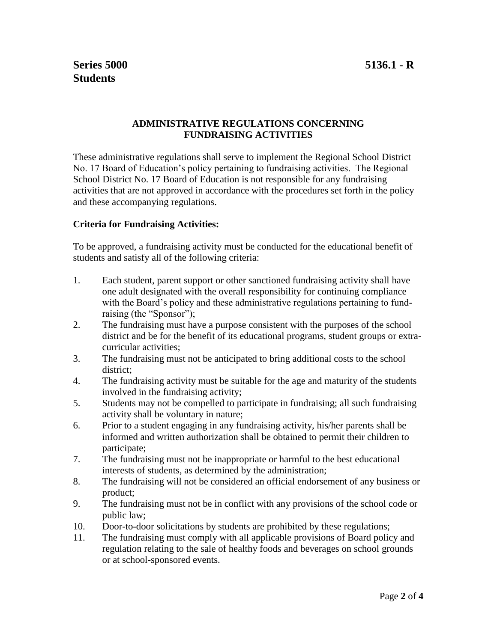#### **ADMINISTRATIVE REGULATIONS CONCERNING FUNDRAISING ACTIVITIES**

These administrative regulations shall serve to implement the Regional School District No. 17 Board of Education's policy pertaining to fundraising activities. The Regional School District No. 17 Board of Education is not responsible for any fundraising activities that are not approved in accordance with the procedures set forth in the policy and these accompanying regulations.

### **Criteria for Fundraising Activities:**

To be approved, a fundraising activity must be conducted for the educational benefit of students and satisfy all of the following criteria:

- 1. Each student, parent support or other sanctioned fundraising activity shall have one adult designated with the overall responsibility for continuing compliance with the Board's policy and these administrative regulations pertaining to fundraising (the "Sponsor");
- 2. The fundraising must have a purpose consistent with the purposes of the school district and be for the benefit of its educational programs, student groups or extracurricular activities;
- 3. The fundraising must not be anticipated to bring additional costs to the school district;
- 4. The fundraising activity must be suitable for the age and maturity of the students involved in the fundraising activity;
- 5. Students may not be compelled to participate in fundraising; all such fundraising activity shall be voluntary in nature;
- 6. Prior to a student engaging in any fundraising activity, his/her parents shall be informed and written authorization shall be obtained to permit their children to participate;
- 7. The fundraising must not be inappropriate or harmful to the best educational interests of students, as determined by the administration;
- 8. The fundraising will not be considered an official endorsement of any business or product;
- 9. The fundraising must not be in conflict with any provisions of the school code or public law;
- 10. Door-to-door solicitations by students are prohibited by these regulations;
- 11. The fundraising must comply with all applicable provisions of Board policy and regulation relating to the sale of healthy foods and beverages on school grounds or at school-sponsored events.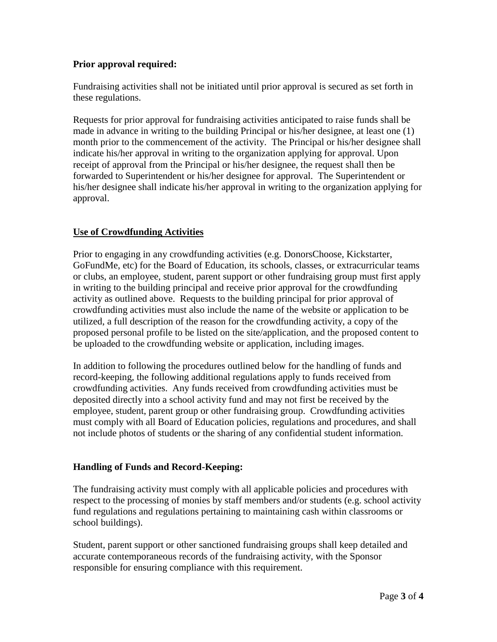### **Prior approval required:**

Fundraising activities shall not be initiated until prior approval is secured as set forth in these regulations.

Requests for prior approval for fundraising activities anticipated to raise funds shall be made in advance in writing to the building Principal or his/her designee, at least one (1) month prior to the commencement of the activity. The Principal or his/her designee shall indicate his/her approval in writing to the organization applying for approval. Upon receipt of approval from the Principal or his/her designee, the request shall then be forwarded to Superintendent or his/her designee for approval. The Superintendent or his/her designee shall indicate his/her approval in writing to the organization applying for approval.

## **Use of Crowdfunding Activities**

Prior to engaging in any crowdfunding activities (e.g. DonorsChoose, Kickstarter, GoFundMe, etc) for the Board of Education, its schools, classes, or extracurricular teams or clubs, an employee, student, parent support or other fundraising group must first apply in writing to the building principal and receive prior approval for the crowdfunding activity as outlined above. Requests to the building principal for prior approval of crowdfunding activities must also include the name of the website or application to be utilized, a full description of the reason for the crowdfunding activity, a copy of the proposed personal profile to be listed on the site/application, and the proposed content to be uploaded to the crowdfunding website or application, including images.

In addition to following the procedures outlined below for the handling of funds and record-keeping, the following additional regulations apply to funds received from crowdfunding activities. Any funds received from crowdfunding activities must be deposited directly into a school activity fund and may not first be received by the employee, student, parent group or other fundraising group. Crowdfunding activities must comply with all Board of Education policies, regulations and procedures, and shall not include photos of students or the sharing of any confidential student information.

### **Handling of Funds and Record-Keeping:**

The fundraising activity must comply with all applicable policies and procedures with respect to the processing of monies by staff members and/or students (e.g. school activity fund regulations and regulations pertaining to maintaining cash within classrooms or school buildings).

Student, parent support or other sanctioned fundraising groups shall keep detailed and accurate contemporaneous records of the fundraising activity, with the Sponsor responsible for ensuring compliance with this requirement.